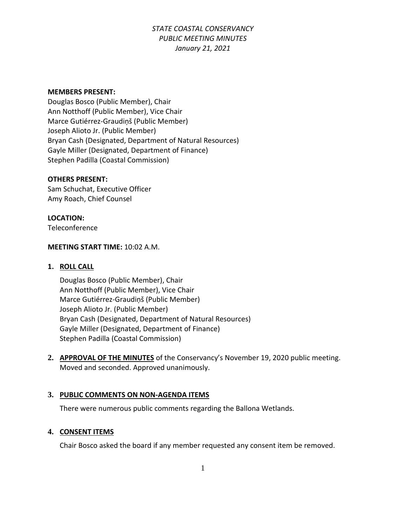#### **MEMBERS PRESENT:**

Douglas Bosco (Public Member), Chair Ann Notthoff (Public Member), Vice Chair Marce Gutiérrez-Graudiņš (Public Member) Joseph Alioto Jr. (Public Member) Bryan Cash (Designated, Department of Natural Resources) Gayle Miller (Designated, Department of Finance) Stephen Padilla (Coastal Commission)

#### **OTHERS PRESENT:**

Sam Schuchat, Executive Officer Amy Roach, Chief Counsel

#### **LOCATION:**

Teleconference

#### **MEETING START TIME:** 10:02 A.M.

#### **1. ROLL CALL**

Douglas Bosco (Public Member), Chair Ann Notthoff (Public Member), Vice Chair Marce Gutiérrez-Graudiņš (Public Member) Joseph Alioto Jr. (Public Member) Bryan Cash (Designated, Department of Natural Resources) Gayle Miller (Designated, Department of Finance) Stephen Padilla (Coastal Commission)

**2. APPROVAL OF THE MINUTES** of the Conservancy's November 19, 2020 public meeting. Moved and seconded. Approved unanimously.

#### **3. PUBLIC COMMENTS ON NON-AGENDA ITEMS**

There were numerous public comments regarding the Ballona Wetlands.

#### **4. CONSENT ITEMS**

Chair Bosco asked the board if any member requested any consent item be removed.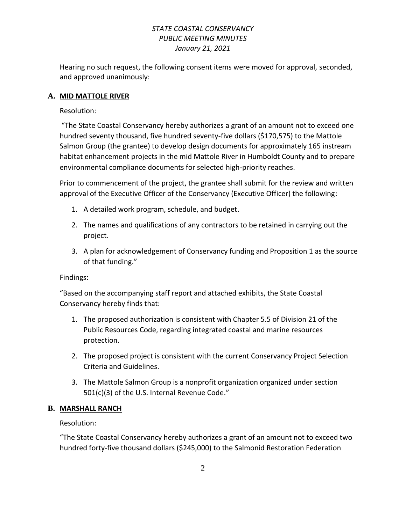Hearing no such request, the following consent items were moved for approval, seconded, and approved unanimously:

### **A. MID MATTOLE RIVER**

Resolution:

"The State Coastal Conservancy hereby authorizes a grant of an amount not to exceed one hundred seventy thousand, five hundred seventy-five dollars (\$170,575) to the Mattole Salmon Group (the grantee) to develop design documents for approximately 165 instream habitat enhancement projects in the mid Mattole River in Humboldt County and to prepare environmental compliance documents for selected high-priority reaches.

Prior to commencement of the project, the grantee shall submit for the review and written approval of the Executive Officer of the Conservancy (Executive Officer) the following:

- 1. A detailed work program, schedule, and budget.
- 2. The names and qualifications of any contractors to be retained in carrying out the project.
- 3. A plan for acknowledgement of Conservancy funding and Proposition 1 as the source of that funding."

Findings:

"Based on the accompanying staff report and attached exhibits, the State Coastal Conservancy hereby finds that:

- 1. The proposed authorization is consistent with Chapter 5.5 of Division 21 of the Public Resources Code, regarding integrated coastal and marine resources protection.
- 2. The proposed project is consistent with the current Conservancy Project Selection Criteria and Guidelines.
- 3. The Mattole Salmon Group is a nonprofit organization organized under section 501(c)(3) of the U.S. Internal Revenue Code."

### **B. MARSHALL RANCH**

Resolution:

"The State Coastal Conservancy hereby authorizes a grant of an amount not to exceed two hundred forty-five thousand dollars (\$245,000) to the Salmonid Restoration Federation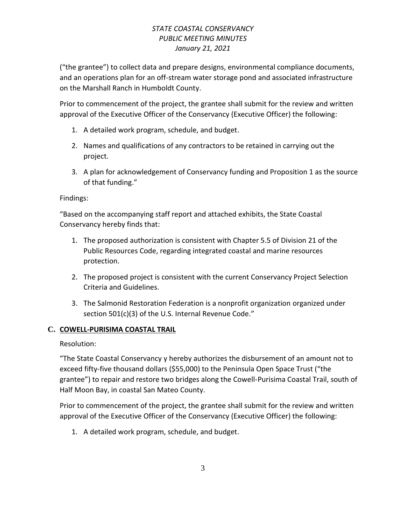("the grantee") to collect data and prepare designs, environmental compliance documents, and an operations plan for an off-stream water storage pond and associated infrastructure on the Marshall Ranch in Humboldt County.

Prior to commencement of the project, the grantee shall submit for the review and written approval of the Executive Officer of the Conservancy (Executive Officer) the following:

- 1. A detailed work program, schedule, and budget.
- 2. Names and qualifications of any contractors to be retained in carrying out the project.
- 3. A plan for acknowledgement of Conservancy funding and Proposition 1 as the source of that funding."

## Findings:

"Based on the accompanying staff report and attached exhibits, the State Coastal Conservancy hereby finds that:

- 1. The proposed authorization is consistent with Chapter 5.5 of Division 21 of the Public Resources Code, regarding integrated coastal and marine resources protection.
- 2. The proposed project is consistent with the current Conservancy Project Selection Criteria and Guidelines.
- 3. The Salmonid Restoration Federation is a nonprofit organization organized under section 501(c)(3) of the U.S. Internal Revenue Code."

# **C. COWELL-PURISIMA COASTAL TRAIL**

Resolution:

"The State Coastal Conservancy y hereby authorizes the disbursement of an amount not to exceed fifty-five thousand dollars (\$55,000) to the Peninsula Open Space Trust ("the grantee") to repair and restore two bridges along the Cowell-Purisima Coastal Trail, south of Half Moon Bay, in coastal San Mateo County.

Prior to commencement of the project, the grantee shall submit for the review and written approval of the Executive Officer of the Conservancy (Executive Officer) the following:

1. A detailed work program, schedule, and budget.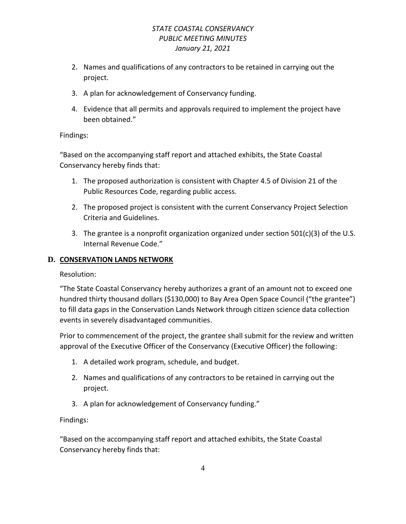- 2. Names and qualifications of any contractors to be retained in carrying out the project.
- 3. A plan for acknowledgement of Conservancy funding.
- 4. Evidence that all permits and approvals required to implement the project have been obtained."

## Findings:

"Based on the accompanying staff report and attached exhibits, the State Coastal Conservancy hereby finds that:

- 1. The proposed authorization is consistent with Chapter 4.5 of Division 21 of the Public Resources Code, regarding public access.
- 2. The proposed project is consistent with the current Conservancy Project Selection Criteria and Guidelines.
- 3. The grantee is a nonprofit organization organized under section  $501(c)(3)$  of the U.S. Internal Revenue Code."

# **D. CONSERVATION LANDS NETWORK**

Resolution:

"The State Coastal Conservancy hereby authorizes a grant of an amount not to exceed one hundred thirty thousand dollars (\$130,000) to Bay Area Open Space Council ("the grantee") to fill data gaps in the Conservation Lands Network through citizen science data collection events in severely disadvantaged communities.

Prior to commencement of the project, the grantee shall submit for the review and written approval of the Executive Officer of the Conservancy (Executive Officer) the following:

- 1. A detailed work program, schedule, and budget.
- 2. Names and qualifications of any contractors to be retained in carrying out the project.
- 3. A plan for acknowledgement of Conservancy funding."

Findings:

"Based on the accompanying staff report and attached exhibits, the State Coastal Conservancy hereby finds that: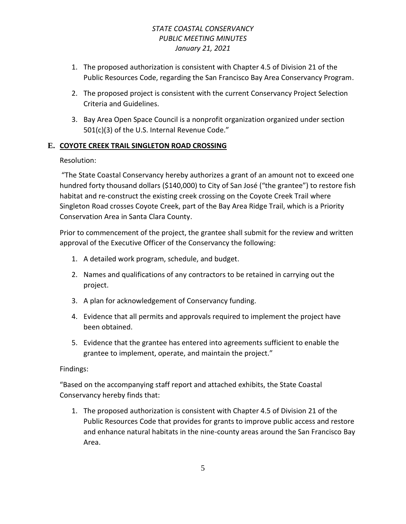- 1. The proposed authorization is consistent with Chapter 4.5 of Division 21 of the Public Resources Code, regarding the San Francisco Bay Area Conservancy Program.
- 2. The proposed project is consistent with the current Conservancy Project Selection Criteria and Guidelines.
- 3. Bay Area Open Space Council is a nonprofit organization organized under section 501(c)(3) of the U.S. Internal Revenue Code."

# **E. COYOTE CREEK TRAIL SINGLETON ROAD CROSSING**

Resolution:

"The State Coastal Conservancy hereby authorizes a grant of an amount not to exceed one hundred forty thousand dollars (\$140,000) to City of San José ("the grantee") to restore fish habitat and re-construct the existing creek crossing on the Coyote Creek Trail where Singleton Road crosses Coyote Creek, part of the Bay Area Ridge Trail, which is a Priority Conservation Area in Santa Clara County.

Prior to commencement of the project, the grantee shall submit for the review and written approval of the Executive Officer of the Conservancy the following:

- 1. A detailed work program, schedule, and budget.
- 2. Names and qualifications of any contractors to be retained in carrying out the project.
- 3. A plan for acknowledgement of Conservancy funding.
- 4. Evidence that all permits and approvals required to implement the project have been obtained.
- 5. Evidence that the grantee has entered into agreements sufficient to enable the grantee to implement, operate, and maintain the project."

# Findings:

"Based on the accompanying staff report and attached exhibits, the State Coastal Conservancy hereby finds that:

1. The proposed authorization is consistent with Chapter 4.5 of Division 21 of the Public Resources Code that provides for grants to improve public access and restore and enhance natural habitats in the nine-county areas around the San Francisco Bay Area.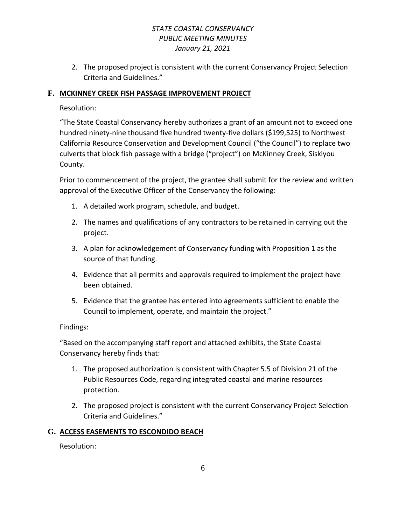2. The proposed project is consistent with the current Conservancy Project Selection Criteria and Guidelines."

## **F. MCKINNEY CREEK FISH PASSAGE IMPROVEMENT PROJECT**

Resolution:

"The State Coastal Conservancy hereby authorizes a grant of an amount not to exceed one hundred ninety-nine thousand five hundred twenty-five dollars (\$199,525) to Northwest California Resource Conservation and Development Council ("the Council") to replace two culverts that block fish passage with a bridge ("project") on McKinney Creek, Siskiyou County.

Prior to commencement of the project, the grantee shall submit for the review and written approval of the Executive Officer of the Conservancy the following:

- 1. A detailed work program, schedule, and budget.
- 2. The names and qualifications of any contractors to be retained in carrying out the project.
- 3. A plan for acknowledgement of Conservancy funding with Proposition 1 as the source of that funding.
- 4. Evidence that all permits and approvals required to implement the project have been obtained.
- 5. Evidence that the grantee has entered into agreements sufficient to enable the Council to implement, operate, and maintain the project."

Findings:

"Based on the accompanying staff report and attached exhibits, the State Coastal Conservancy hereby finds that:

- 1. The proposed authorization is consistent with Chapter 5.5 of Division 21 of the Public Resources Code, regarding integrated coastal and marine resources protection.
- 2. The proposed project is consistent with the current Conservancy Project Selection Criteria and Guidelines."

# **G. ACCESS EASEMENTS TO ESCONDIDO BEACH**

Resolution: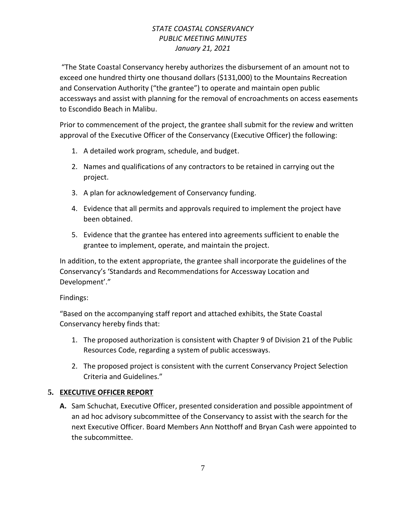"The State Coastal Conservancy hereby authorizes the disbursement of an amount not to exceed one hundred thirty one thousand dollars (\$131,000) to the Mountains Recreation and Conservation Authority ("the grantee") to operate and maintain open public accessways and assist with planning for the removal of encroachments on access easements to Escondido Beach in Malibu.

Prior to commencement of the project, the grantee shall submit for the review and written approval of the Executive Officer of the Conservancy (Executive Officer) the following:

- 1. A detailed work program, schedule, and budget.
- 2. Names and qualifications of any contractors to be retained in carrying out the project.
- 3. A plan for acknowledgement of Conservancy funding.
- 4. Evidence that all permits and approvals required to implement the project have been obtained.
- 5. Evidence that the grantee has entered into agreements sufficient to enable the grantee to implement, operate, and maintain the project.

In addition, to the extent appropriate, the grantee shall incorporate the guidelines of the Conservancy's 'Standards and Recommendations for Accessway Location and Development'."

### Findings:

"Based on the accompanying staff report and attached exhibits, the State Coastal Conservancy hereby finds that:

- 1. The proposed authorization is consistent with Chapter 9 of Division 21 of the Public Resources Code, regarding a system of public accessways.
- 2. The proposed project is consistent with the current Conservancy Project Selection Criteria and Guidelines."

# **5. EXECUTIVE OFFICER REPORT**

**A.** Sam Schuchat, Executive Officer, presented consideration and possible appointment of an ad hoc advisory subcommittee of the Conservancy to assist with the search for the next Executive Officer. Board Members Ann Notthoff and Bryan Cash were appointed to the subcommittee.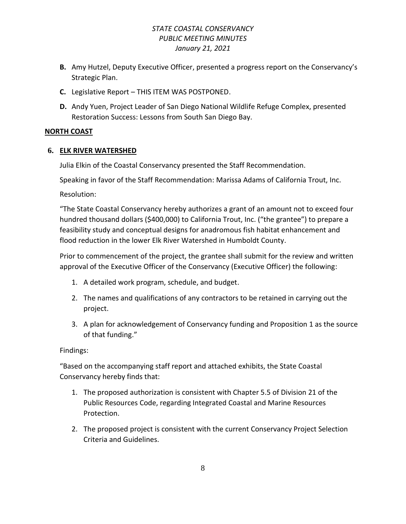- **B.** Amy Hutzel, Deputy Executive Officer, presented a progress report on the Conservancy's Strategic Plan.
- **C.** Legislative Report THIS ITEM WAS POSTPONED.
- **D.** Andy Yuen, Project Leader of San Diego National Wildlife Refuge Complex, presented Restoration Success: Lessons from South San Diego Bay.

### **NORTH COAST**

### **6. ELK RIVER WATERSHED**

Julia Elkin of the Coastal Conservancy presented the Staff Recommendation.

Speaking in favor of the Staff Recommendation: Marissa Adams of California Trout, Inc.

Resolution:

"The State Coastal Conservancy hereby authorizes a grant of an amount not to exceed four hundred thousand dollars (\$400,000) to California Trout, Inc. ("the grantee") to prepare a feasibility study and conceptual designs for anadromous fish habitat enhancement and flood reduction in the lower Elk River Watershed in Humboldt County.

Prior to commencement of the project, the grantee shall submit for the review and written approval of the Executive Officer of the Conservancy (Executive Officer) the following:

- 1. A detailed work program, schedule, and budget.
- 2. The names and qualifications of any contractors to be retained in carrying out the project.
- 3. A plan for acknowledgement of Conservancy funding and Proposition 1 as the source of that funding."

### Findings:

"Based on the accompanying staff report and attached exhibits, the State Coastal Conservancy hereby finds that:

- 1. The proposed authorization is consistent with Chapter 5.5 of Division 21 of the Public Resources Code, regarding Integrated Coastal and Marine Resources Protection.
- 2. The proposed project is consistent with the current Conservancy Project Selection Criteria and Guidelines.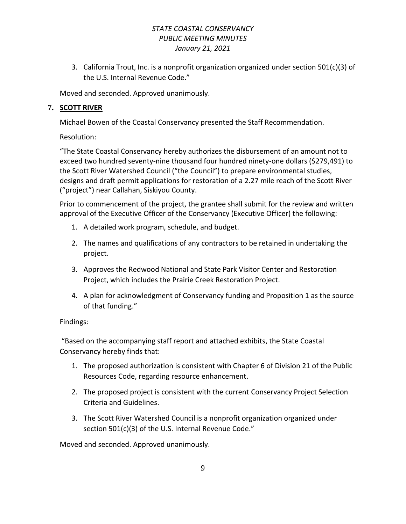3. California Trout, Inc. is a nonprofit organization organized under section 501(c)(3) of the U.S. Internal Revenue Code."

Moved and seconded. Approved unanimously.

# **7. SCOTT RIVER**

Michael Bowen of the Coastal Conservancy presented the Staff Recommendation.

Resolution:

"The State Coastal Conservancy hereby authorizes the disbursement of an amount not to exceed two hundred seventy-nine thousand four hundred ninety-one dollars (\$279,491) to the Scott River Watershed Council ("the Council") to prepare environmental studies, designs and draft permit applications for restoration of a 2.27 mile reach of the Scott River ("project") near Callahan, Siskiyou County.

Prior to commencement of the project, the grantee shall submit for the review and written approval of the Executive Officer of the Conservancy (Executive Officer) the following:

- 1. A detailed work program, schedule, and budget.
- 2. The names and qualifications of any contractors to be retained in undertaking the project.
- 3. Approves the Redwood National and State Park Visitor Center and Restoration Project, which includes the Prairie Creek Restoration Project.
- 4. A plan for acknowledgment of Conservancy funding and Proposition 1 as the source of that funding."

# Findings:

"Based on the accompanying staff report and attached exhibits, the State Coastal Conservancy hereby finds that:

- 1. The proposed authorization is consistent with Chapter 6 of Division 21 of the Public Resources Code, regarding resource enhancement.
- 2. The proposed project is consistent with the current Conservancy Project Selection Criteria and Guidelines.
- 3. The Scott River Watershed Council is a nonprofit organization organized under section 501(c)(3) of the U.S. Internal Revenue Code."

Moved and seconded. Approved unanimously.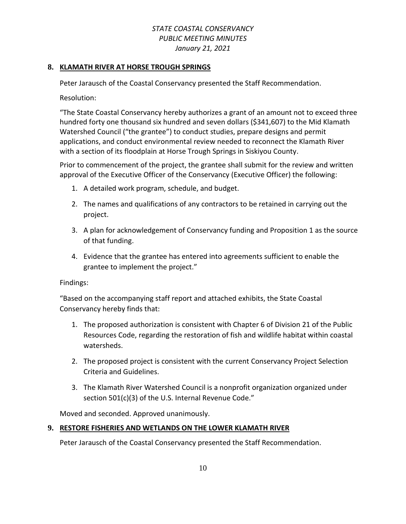### **8. KLAMATH RIVER AT HORSE TROUGH SPRINGS**

Peter Jarausch of the Coastal Conservancy presented the Staff Recommendation.

Resolution:

"The State Coastal Conservancy hereby authorizes a grant of an amount not to exceed three hundred forty one thousand six hundred and seven dollars (\$341,607) to the Mid Klamath Watershed Council ("the grantee") to conduct studies, prepare designs and permit applications, and conduct environmental review needed to reconnect the Klamath River with a section of its floodplain at Horse Trough Springs in Siskiyou County.

Prior to commencement of the project, the grantee shall submit for the review and written approval of the Executive Officer of the Conservancy (Executive Officer) the following:

- 1. A detailed work program, schedule, and budget.
- 2. The names and qualifications of any contractors to be retained in carrying out the project.
- 3. A plan for acknowledgement of Conservancy funding and Proposition 1 as the source of that funding.
- 4. Evidence that the grantee has entered into agreements sufficient to enable the grantee to implement the project."

Findings:

"Based on the accompanying staff report and attached exhibits, the State Coastal Conservancy hereby finds that:

- 1. The proposed authorization is consistent with Chapter 6 of Division 21 of the Public Resources Code, regarding the restoration of fish and wildlife habitat within coastal watersheds.
- 2. The proposed project is consistent with the current Conservancy Project Selection Criteria and Guidelines.
- 3. The Klamath River Watershed Council is a nonprofit organization organized under section 501(c)(3) of the U.S. Internal Revenue Code."

Moved and seconded. Approved unanimously.

# **9. RESTORE FISHERIES AND WETLANDS ON THE LOWER KLAMATH RIVER**

Peter Jarausch of the Coastal Conservancy presented the Staff Recommendation.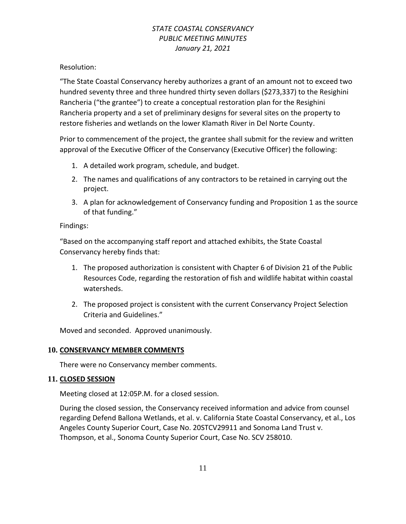Resolution:

"The State Coastal Conservancy hereby authorizes a grant of an amount not to exceed two hundred seventy three and three hundred thirty seven dollars (\$273,337) to the Resighini Rancheria ("the grantee") to create a conceptual restoration plan for the Resighini Rancheria property and a set of preliminary designs for several sites on the property to restore fisheries and wetlands on the lower Klamath River in Del Norte County.

Prior to commencement of the project, the grantee shall submit for the review and written approval of the Executive Officer of the Conservancy (Executive Officer) the following:

- 1. A detailed work program, schedule, and budget.
- 2. The names and qualifications of any contractors to be retained in carrying out the project.
- 3. A plan for acknowledgement of Conservancy funding and Proposition 1 as the source of that funding."

# Findings:

"Based on the accompanying staff report and attached exhibits, the State Coastal Conservancy hereby finds that:

- 1. The proposed authorization is consistent with Chapter 6 of Division 21 of the Public Resources Code, regarding the restoration of fish and wildlife habitat within coastal watersheds.
- 2. The proposed project is consistent with the current Conservancy Project Selection Criteria and Guidelines."

Moved and seconded. Approved unanimously.

### **10. CONSERVANCY MEMBER COMMENTS**

There were no Conservancy member comments.

### **11. CLOSED SESSION**

Meeting closed at 12:05P.M. for a closed session.

During the closed session, the Conservancy received information and advice from counsel regarding Defend Ballona Wetlands, et al. v. California State Coastal Conservancy, et al., Los Angeles County Superior Court, Case No. 20STCV29911 and Sonoma Land Trust v. Thompson, et al., Sonoma County Superior Court, Case No. SCV 258010.